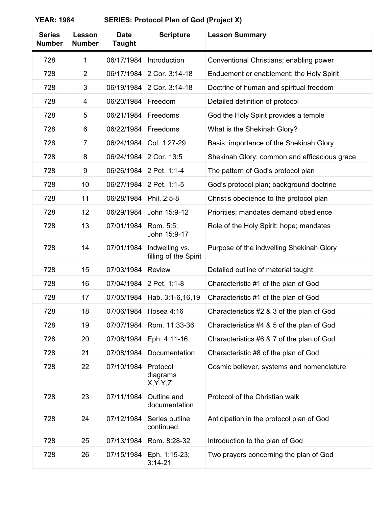| <b>Series</b><br><b>Number</b> | Lesson<br><b>Number</b> | <b>Date</b><br><b>Taught</b> | <b>Scripture</b>                        | <b>Lesson Summary</b>                        |
|--------------------------------|-------------------------|------------------------------|-----------------------------------------|----------------------------------------------|
| 728                            | 1                       | 06/17/1984                   | Introduction                            | Conventional Christians; enabling power      |
| 728                            | $\overline{2}$          | 06/17/1984                   | 2 Cor. 3:14-18                          | Enduement or enablement; the Holy Spirit     |
| 728                            | 3                       | 06/19/1984                   | 2 Cor. 3:14-18                          | Doctrine of human and spiritual freedom      |
| 728                            | 4                       | 06/20/1984                   | Freedom                                 | Detailed definition of protocol              |
| 728                            | 5                       | 06/21/1984                   | Freedoms                                | God the Holy Spirit provides a temple        |
| 728                            | 6                       | 06/22/1984                   | Freedoms                                | What is the Shekinah Glory?                  |
| 728                            | 7                       | 06/24/1984                   | Col. 1:27-29                            | Basis: importance of the Shekinah Glory      |
| 728                            | 8                       | 06/24/1984                   | 2 Cor. 13:5                             | Shekinah Glory; common and efficacious grace |
| 728                            | 9                       | 06/26/1984                   | 2 Pet. 1:1-4                            | The pattern of God's protocol plan           |
| 728                            | 10                      | 06/27/1984                   | 2 Pet. 1:1-5                            | God's protocol plan; background doctrine     |
| 728                            | 11                      | 06/28/1984                   | Phil. 2:5-8                             | Christ's obedience to the protocol plan      |
| 728                            | 12                      | 06/29/1984                   | John 15:9-12                            | Priorities; mandates demand obedience        |
| 728                            | 13                      | 07/01/1984                   | Rom. 5:5;<br>John 15:9-17               | Role of the Holy Spirit; hope; mandates      |
| 728                            | 14                      | 07/01/1984                   | Indwelling vs.<br>filling of the Spirit | Purpose of the indwelling Shekinah Glory     |
| 728                            | 15                      | 07/03/1984                   | Review                                  | Detailed outline of material taught          |
| 728                            | 16                      | 07/04/1984                   | 2 Pet. 1:1-8                            | Characteristic #1 of the plan of God         |
| 728                            | 17                      | 07/05/1984                   | Hab. 3:1-6,16,19                        | Characteristic #1 of the plan of God         |
| 728                            | 18                      |                              | 07/06/1984   Hosea 4:16                 | Characteristics #2 & 3 of the plan of God    |
| 728                            | 19                      | 07/07/1984                   | Rom. 11:33-36                           | Characteristics #4 & 5 of the plan of God    |
| 728                            | 20                      | 07/08/1984                   | Eph. 4:11-16                            | Characteristics #6 & 7 of the plan of God    |
| 728                            | 21                      | 07/08/1984                   | Documentation                           | Characteristic #8 of the plan of God         |
| 728                            | 22                      | 07/10/1984                   | Protocol<br>diagrams<br>X, Y, Y, Z      | Cosmic believer, systems and nomenclature    |
| 728                            | 23                      | 07/11/1984                   | Outline and<br>documentation            | Protocol of the Christian walk               |
| 728                            | 24                      | 07/12/1984                   | Series outline<br>continued             | Anticipation in the protocol plan of God     |
| 728                            | 25                      | 07/13/1984                   | Rom. 8:28-32                            | Introduction to the plan of God              |
| 728                            | 26                      | 07/15/1984                   | Eph. 1:15-23;<br>$3:14 - 21$            | Two prayers concerning the plan of God       |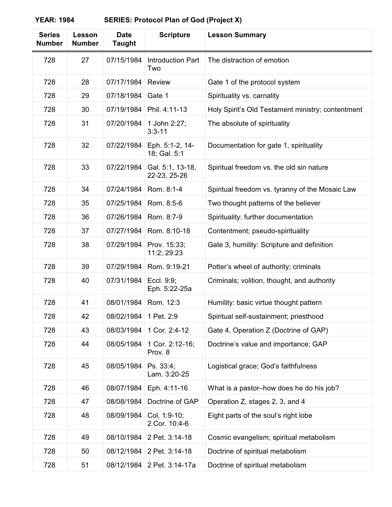| <b>Series</b><br><b>Number</b> | Lesson<br><b>Number</b> | <b>Date</b><br><b>Taught</b> | <b>Scripture</b>                 | <b>Lesson Summary</b>                             |
|--------------------------------|-------------------------|------------------------------|----------------------------------|---------------------------------------------------|
| 728                            | 27                      | 07/15/1984                   | <b>Introduction Part</b><br>Two  | The distraction of emotion                        |
| 728                            | 28                      | 07/17/1984                   | <b>Review</b>                    | Gate 1 of the protocol system                     |
| 728                            | 29                      | 07/18/1984                   | Gate 1                           | Spirituality vs. carnality                        |
| 728                            | 30                      | 07/19/1984                   | Phil. 4:11-13                    | Holy Spirit's Old Testament ministry; contentment |
| 728                            | 31                      | 07/20/1984                   | 1 John 2:27;<br>$3:3 - 11$       | The absolute of spirituality                      |
| 728                            | 32                      | 07/22/1984                   | Eph. 5:1-2, 14-<br>18; Gal. 5:1  | Documentation for gate 1, spirituality            |
| 728                            | 33                      | 07/22/1984                   | Gal. 5:1, 13-18,<br>22-23, 25-26 | Spiritual freedom vs. the old sin nature          |
| 728                            | 34                      | 07/24/1984                   | Rom. 8:1-4                       | Spiritual freedom vs. tyranny of the Mosaic Law   |
| 728                            | 35                      | 07/25/1984                   | Rom. 8:5-6                       | Two thought patterns of the believer              |
| 728                            | 36                      | 07/26/1984                   | Rom. 8:7-9                       | Spirituality: further documentation               |
| 728                            | 37                      | 07/27/1984                   | Rom. 8:10-18                     | Contentment; pseudo-spirituality                  |
| 728                            | 38                      | 07/29/1984                   | Prov. 15:33;<br>11:2; 29:23      | Gate 3, humility: Scripture and definition        |
| 728                            | 39                      | 07/29/1984                   | Rom. 9:19-21                     | Potter's wheel of authority; criminals            |
| 728                            | 40                      | 07/31/1984                   | Eccl. 9:9;<br>Eph. 5:22-25a      | Criminals; volition, thought, and authority       |
| 728                            | 41                      | 08/01/1984                   | Rom. 12:3                        | Humility: basic virtue thought pattern            |
| 728                            | 42                      | 08/02/1984                   | 1 Pet. 2:9                       | Spiritual self-sustainment; priesthood            |
| 728                            | 43                      | 08/03/1984                   | 1 Cor. 2:4-12                    | Gate 4, Operation Z (Doctrine of GAP)             |
| 728                            | 44                      | 08/05/1984                   | 1 Cor. 2:12-16;<br>Prov. 8       | Doctrine's value and importance; GAP              |
| 728                            | 45                      | 08/05/1984                   | Ps. 33:4;<br>Lam. 3:20-25        | Logistical grace; God's faithfulness              |
| 728                            | 46                      | 08/07/1984                   | Eph. 4:11-16                     | What is a pastor-how does he do his job?          |
| 728                            | 47                      | 08/08/1984                   | Doctrine of GAP                  | Operation Z, stages 2, 3, and 4                   |
| 728                            | 48                      | 08/09/1984                   | Col. 1:9-10;<br>2 Cor. 10:4-6    | Eight parts of the soul's right lobe              |
| 728                            | 49                      | 08/10/1984                   | 2 Pet. 3:14-18                   | Cosmic evangelism; spiritual metabolism           |
| 728                            | 50                      | 08/12/1984                   | 2 Pet. 3:14-18                   | Doctrine of spiritual metabolism                  |
| 728                            | 51                      | 08/12/1984                   | 2 Pet. 3:14-17a                  | Doctrine of spiritual metabolism                  |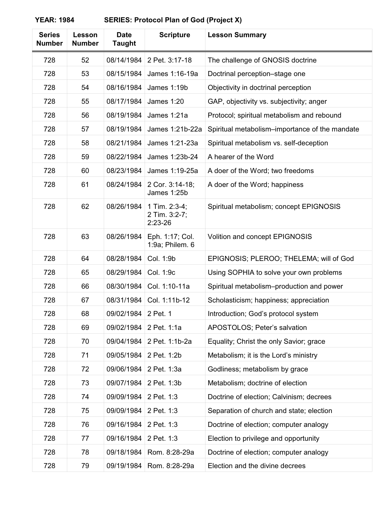| <b>Series</b><br><b>Number</b> | Lesson<br><b>Number</b> | <b>Date</b><br><b>Taught</b> | <b>Scripture</b>                            | <b>Lesson Summary</b>                          |
|--------------------------------|-------------------------|------------------------------|---------------------------------------------|------------------------------------------------|
| 728                            | 52                      | 08/14/1984                   | 2 Pet. 3:17-18                              | The challenge of GNOSIS doctrine               |
| 728                            | 53                      | 08/15/1984                   | James 1:16-19a                              | Doctrinal perception-stage one                 |
| 728                            | 54                      | 08/16/1984                   | James 1:19b                                 | Objectivity in doctrinal perception            |
| 728                            | 55                      | 08/17/1984                   | <b>James 1:20</b>                           | GAP, objectivity vs. subjectivity; anger       |
| 728                            | 56                      | 08/19/1984                   | James 1:21a                                 | Protocol; spiritual metabolism and rebound     |
| 728                            | 57                      | 08/19/1984                   | James 1:21b-22a                             | Spiritual metabolism–importance of the mandate |
| 728                            | 58                      | 08/21/1984                   | James 1:21-23a                              | Spiritual metabolism vs. self-deception        |
| 728                            | 59                      | 08/22/1984                   | James 1:23b-24                              | A hearer of the Word                           |
| 728                            | 60                      | 08/23/1984                   | James 1:19-25a                              | A doer of the Word; two freedoms               |
| 728                            | 61                      | 08/24/1984                   | 2 Cor. 3:14-18;<br>James 1:25b              | A doer of the Word; happiness                  |
| 728                            | 62                      | 08/26/1984                   | 1 Tim. 2:3-4;<br>2 Tim. 3:2-7;<br>$2:23-26$ | Spiritual metabolism; concept EPIGNOSIS        |
| 728                            | 63                      | 08/26/1984                   | Eph. 1:17; Col.<br>1:9a; Philem. 6          | Volition and concept EPIGNOSIS                 |
| 728                            | 64                      | 08/28/1984                   | Col. 1:9b                                   | EPIGNOSIS; PLEROO; THELEMA; will of God        |
| 728                            | 65                      | 08/29/1984                   | Col. 1:9c                                   | Using SOPHIA to solve your own problems        |
| 728                            | 66                      | 08/30/1984                   | Col. 1:10-11a                               | Spiritual metabolism-production and power      |
| 728                            | 67                      | 08/31/1984                   | Col. 1:11b-12                               | Scholasticism; happiness; appreciation         |
| 728                            | 68                      | 09/02/1984                   | 2 Pet. 1                                    | Introduction; God's protocol system            |
| 728                            | 69                      | 09/02/1984                   | 2 Pet. 1:1a                                 | APOSTOLOS; Peter's salvation                   |
| 728                            | 70                      | 09/04/1984                   | 2 Pet. 1:1b-2a                              | Equality; Christ the only Savior; grace        |
| 728                            | 71                      | 09/05/1984                   | 2 Pet. 1:2b                                 | Metabolism; it is the Lord's ministry          |
| 728                            | 72                      | 09/06/1984                   | 2 Pet. 1:3a                                 | Godliness; metabolism by grace                 |
| 728                            | 73                      | 09/07/1984                   | 2 Pet. 1:3b                                 | Metabolism; doctrine of election               |
| 728                            | 74                      | 09/09/1984                   | 2 Pet. 1:3                                  | Doctrine of election; Calvinism; decrees       |
| 728                            | 75                      | 09/09/1984                   | 2 Pet. 1:3                                  | Separation of church and state; election       |
| 728                            | 76                      | 09/16/1984                   | 2 Pet. 1:3                                  | Doctrine of election; computer analogy         |
| 728                            | 77                      | 09/16/1984                   | 2 Pet. 1:3                                  | Election to privilege and opportunity          |
| 728                            | 78                      | 09/18/1984                   | Rom. 8:28-29a                               | Doctrine of election; computer analogy         |
| 728                            | 79                      | 09/19/1984                   | Rom. 8:28-29a                               | Election and the divine decrees                |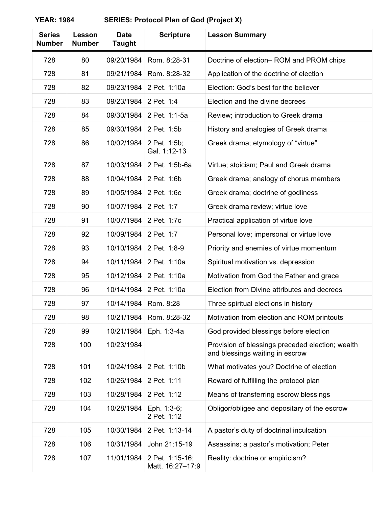| <b>Series</b><br><b>Number</b> | Lesson<br><b>Number</b> | <b>Date</b><br><b>Taught</b> | <b>Scripture</b>                    | <b>Lesson Summary</b>                                                               |
|--------------------------------|-------------------------|------------------------------|-------------------------------------|-------------------------------------------------------------------------------------|
| 728                            | 80                      | 09/20/1984                   | Rom. 8:28-31                        | Doctrine of election-ROM and PROM chips                                             |
| 728                            | 81                      | 09/21/1984                   | Rom. 8:28-32                        | Application of the doctrine of election                                             |
| 728                            | 82                      | 09/23/1984                   | 2 Pet. 1:10a                        | Election: God's best for the believer                                               |
| 728                            | 83                      | 09/23/1984                   | 2 Pet. 1:4                          | Election and the divine decrees                                                     |
| 728                            | 84                      | 09/30/1984                   | 2 Pet. 1:1-5a                       | Review; introduction to Greek drama                                                 |
| 728                            | 85                      | 09/30/1984                   | 2 Pet. 1:5b                         | History and analogies of Greek drama                                                |
| 728                            | 86                      | 10/02/1984                   | 2 Pet. 1:5b;<br>Gal. 1:12-13        | Greek drama; etymology of "virtue"                                                  |
| 728                            | 87                      | 10/03/1984                   | 2 Pet. 1:5b-6a                      | Virtue; stoicism; Paul and Greek drama                                              |
| 728                            | 88                      | 10/04/1984                   | 2 Pet. 1:6b                         | Greek drama; analogy of chorus members                                              |
| 728                            | 89                      | 10/05/1984                   | 2 Pet. 1:6c                         | Greek drama; doctrine of godliness                                                  |
| 728                            | 90                      | 10/07/1984                   | 2 Pet. 1:7                          | Greek drama review; virtue love                                                     |
| 728                            | 91                      | 10/07/1984                   | 2 Pet. 1:7c                         | Practical application of virtue love                                                |
| 728                            | 92                      | 10/09/1984                   | 2 Pet. 1:7                          | Personal love; impersonal or virtue love                                            |
| 728                            | 93                      | 10/10/1984                   | 2 Pet. 1:8-9                        | Priority and enemies of virtue momentum                                             |
| 728                            | 94                      | 10/11/1984                   | 2 Pet. 1:10a                        | Spiritual motivation vs. depression                                                 |
| 728                            | 95                      | 10/12/1984                   | 2 Pet. 1:10a                        | Motivation from God the Father and grace                                            |
| 728                            | 96                      | 10/14/1984                   | 2 Pet. 1:10a                        | Election from Divine attributes and decrees                                         |
| 728                            | 97                      | 10/14/1984                   | Rom. 8:28                           | Three spiritual elections in history                                                |
| 728                            | 98                      | 10/21/1984                   | Rom. 8:28-32                        | Motivation from election and ROM printouts                                          |
| 728                            | 99                      | 10/21/1984                   | Eph. 1:3-4a                         | God provided blessings before election                                              |
| 728                            | 100                     | 10/23/1984                   |                                     | Provision of blessings preceded election; wealth<br>and blessings waiting in escrow |
| 728                            | 101                     | 10/24/1984                   | 2 Pet. 1:10b                        | What motivates you? Doctrine of election                                            |
| 728                            | 102                     | 10/26/1984                   | 2 Pet. 1:11                         | Reward of fulfilling the protocol plan                                              |
| 728                            | 103                     | 10/28/1984                   | 2 Pet. 1:12                         | Means of transferring escrow blessings                                              |
| 728                            | 104                     | 10/28/1984                   | Eph. 1:3-6;<br>2 Pet. 1:12          | Obligor/obligee and depositary of the escrow                                        |
| 728                            | 105                     | 10/30/1984                   | 2 Pet. 1:13-14                      | A pastor's duty of doctrinal inculcation                                            |
| 728                            | 106                     | 10/31/1984                   | John 21:15-19                       | Assassins; a pastor's motivation; Peter                                             |
| 728                            | 107                     | 11/01/1984                   | 2 Pet. 1:15-16;<br>Matt. 16:27-17:9 | Reality: doctrine or empiricism?                                                    |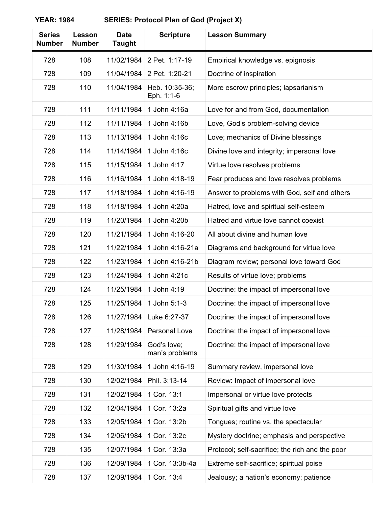| <b>Series</b><br><b>Number</b> | Lesson<br><b>Number</b> | <b>Date</b><br><b>Taught</b> | <b>Scripture</b>              | <b>Lesson Summary</b>                           |
|--------------------------------|-------------------------|------------------------------|-------------------------------|-------------------------------------------------|
| 728                            | 108                     | 11/02/1984                   | 2 Pet. 1:17-19                | Empirical knowledge vs. epignosis               |
| 728                            | 109                     | 11/04/1984                   | 2 Pet. 1:20-21                | Doctrine of inspiration                         |
| 728                            | 110                     | 11/04/1984                   | Heb. 10:35-36;<br>Eph. 1:1-6  | More escrow principles; lapsarianism            |
| 728                            | 111                     | 11/11/1984                   | 1 John 4:16a                  | Love for and from God, documentation            |
| 728                            | 112                     | 11/11/1984                   | 1 John 4:16b                  | Love, God's problem-solving device              |
| 728                            | 113                     | 11/13/1984                   | 1 John 4:16c                  | Love; mechanics of Divine blessings             |
| 728                            | 114                     | 11/14/1984                   | 1 John 4:16c                  | Divine love and integrity; impersonal love      |
| 728                            | 115                     | 11/15/1984                   | 1 John 4:17                   | Virtue love resolves problems                   |
| 728                            | 116                     | 11/16/1984                   | 1 John 4:18-19                | Fear produces and love resolves problems        |
| 728                            | 117                     | 11/18/1984                   | 1 John 4:16-19                | Answer to problems with God, self and others    |
| 728                            | 118                     | 11/18/1984                   | 1 John 4:20a                  | Hatred, love and spiritual self-esteem          |
| 728                            | 119                     | 11/20/1984                   | 1 John 4:20b                  | Hatred and virtue love cannot coexist           |
| 728                            | 120                     | 11/21/1984                   | 1 John 4:16-20                | All about divine and human love                 |
| 728                            | 121                     | 11/22/1984                   | 1 John 4:16-21a               | Diagrams and background for virtue love         |
| 728                            | 122                     | 11/23/1984                   | 1 John 4:16-21b               | Diagram review; personal love toward God        |
| 728                            | 123                     | 11/24/1984                   | 1 John 4:21c                  | Results of virtue love; problems                |
| 728                            | 124                     | 11/25/1984                   | 1 John 4:19                   | Doctrine: the impact of impersonal love         |
| 728                            | 125                     | 11/25/1984                   | 1 John 5:1-3                  | Doctrine: the impact of impersonal love         |
| 728                            | 126                     | 11/27/1984                   | Luke 6:27-37                  | Doctrine: the impact of impersonal love         |
| 728                            | 127                     | 11/28/1984                   | Personal Love                 | Doctrine: the impact of impersonal love         |
| 728                            | 128                     | 11/29/1984                   | God's love;<br>man's problems | Doctrine: the impact of impersonal love         |
| 728                            | 129                     | 11/30/1984                   | 1 John 4:16-19                | Summary review, impersonal love                 |
| 728                            | 130                     | 12/02/1984                   | Phil. 3:13-14                 | Review: Impact of impersonal love               |
| 728                            | 131                     | 12/02/1984                   | 1 Cor. 13:1                   | Impersonal or virtue love protects              |
| 728                            | 132                     | 12/04/1984                   | 1 Cor. 13:2a                  | Spiritual gifts and virtue love                 |
| 728                            | 133                     | 12/05/1984                   | 1 Cor. 13:2b                  | Tongues; routine vs. the spectacular            |
| 728                            | 134                     | 12/06/1984                   | 1 Cor. 13:2c                  | Mystery doctrine; emphasis and perspective      |
| 728                            | 135                     | 12/07/1984                   | 1 Cor. 13:3a                  | Protocol; self-sacrifice; the rich and the poor |
| 728                            | 136                     | 12/09/1984                   | 1 Cor. 13:3b-4a               | Extreme self-sacrifice; spiritual poise         |
| 728                            | 137                     | 12/09/1984                   | 1 Cor. 13:4                   | Jealousy; a nation's economy; patience          |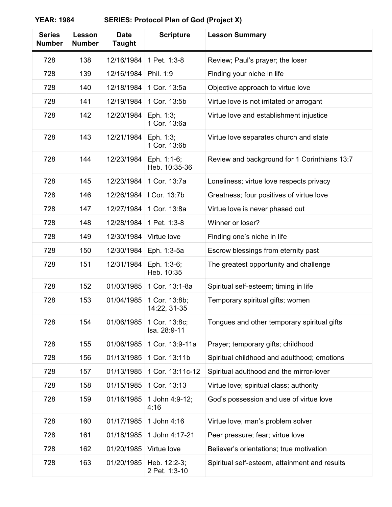| <b>Series</b><br><b>Number</b> | Lesson<br><b>Number</b> | <b>Date</b><br><b>Taught</b> | <b>Scripture</b>              | <b>Lesson Summary</b>                         |
|--------------------------------|-------------------------|------------------------------|-------------------------------|-----------------------------------------------|
| 728                            | 138                     | 12/16/1984                   | 1 Pet. 1:3-8                  | Review; Paul's prayer; the loser              |
| 728                            | 139                     | 12/16/1984                   | Phil. 1:9                     | Finding your niche in life                    |
| 728                            | 140                     | 12/18/1984                   | 1 Cor. 13:5a                  | Objective approach to virtue love             |
| 728                            | 141                     | 12/19/1984                   | 1 Cor. 13:5b                  | Virtue love is not irritated or arrogant      |
| 728                            | 142                     | 12/20/1984                   | Eph. 1:3;<br>1 Cor. 13:6a     | Virtue love and establishment injustice       |
| 728                            | 143                     | 12/21/1984                   | Eph. 1:3;<br>1 Cor. 13:6b     | Virtue love separates church and state        |
| 728                            | 144                     | 12/23/1984                   | Eph. 1:1-6;<br>Heb. 10:35-36  | Review and background for 1 Corinthians 13:7  |
| 728                            | 145                     | 12/23/1984                   | 1 Cor. 13:7a                  | Loneliness; virtue love respects privacy      |
| 728                            | 146                     | 12/26/1984                   | I Cor. 13:7b                  | Greatness; four positives of virtue love      |
| 728                            | 147                     | 12/27/1984                   | 1 Cor. 13:8a                  | Virtue love is never phased out               |
| 728                            | 148                     | 12/28/1984                   | 1 Pet. 1:3-8                  | Winner or loser?                              |
| 728                            | 149                     | 12/30/1984                   | Virtue love                   | Finding one's niche in life                   |
| 728                            | 150                     | 12/30/1984                   | Eph. 1:3-5a                   | Escrow blessings from eternity past           |
| 728                            | 151                     | 12/31/1984                   | Eph. 1:3-6;<br>Heb. 10:35     | The greatest opportunity and challenge        |
| 728                            | 152                     | 01/03/1985                   | 1 Cor. 13:1-8a                | Spiritual self-esteem; timing in life         |
| 728                            | 153                     | 01/04/1985                   | 1 Cor. 13:8b;<br>14:22, 31-35 | Temporary spiritual gifts; women              |
| 728                            | 154                     | 01/06/1985                   | 1 Cor. 13:8c;<br>Isa. 28:9-11 | Tongues and other temporary spiritual gifts   |
| 728                            | 155                     | 01/06/1985                   | 1 Cor. 13:9-11a               | Prayer; temporary gifts; childhood            |
| 728                            | 156                     | 01/13/1985                   | 1 Cor. 13:11b                 | Spiritual childhood and adulthood; emotions   |
| 728                            | 157                     | 01/13/1985                   | 1 Cor. 13:11c-12              | Spiritual adulthood and the mirror-lover      |
| 728                            | 158                     | 01/15/1985                   | 1 Cor. 13:13                  | Virtue love; spiritual class; authority       |
| 728                            | 159                     | 01/16/1985                   | 1 John 4:9-12;<br>4:16        | God's possession and use of virtue love       |
| 728                            | 160                     | 01/17/1985                   | 1 John 4:16                   | Virtue love, man's problem solver             |
| 728                            | 161                     | 01/18/1985                   | 1 John 4:17-21                | Peer pressure; fear; virtue love              |
| 728                            | 162                     | 01/20/1985                   | Virtue love                   | Believer's orientations; true motivation      |
| 728                            | 163                     | 01/20/1985                   | Heb. 12:2-3;<br>2 Pet. 1:3-10 | Spiritual self-esteem, attainment and results |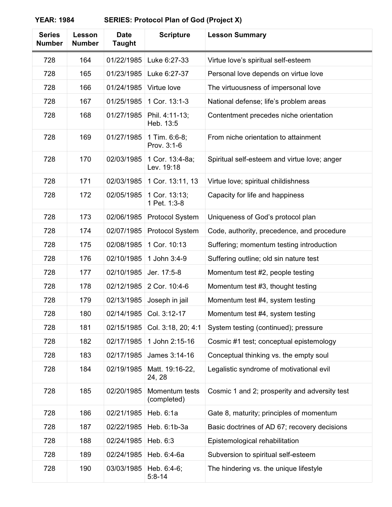| <b>Series</b><br><b>Number</b> | Lesson<br><b>Number</b> | <b>Date</b><br><b>Taught</b> | <b>Scripture</b>              | <b>Lesson Summary</b>                         |
|--------------------------------|-------------------------|------------------------------|-------------------------------|-----------------------------------------------|
| 728                            | 164                     | 01/22/1985                   | Luke 6:27-33                  | Virtue love's spiritual self-esteem           |
| 728                            | 165                     | 01/23/1985                   | Luke 6:27-37                  | Personal love depends on virtue love          |
| 728                            | 166                     | 01/24/1985                   | Virtue love                   | The virtuousness of impersonal love           |
| 728                            | 167                     | 01/25/1985                   | 1 Cor. 13:1-3                 | National defense; life's problem areas        |
| 728                            | 168                     | 01/27/1985                   | Phil. 4:11-13;<br>Heb. 13:5   | Contentment precedes niche orientation        |
| 728                            | 169                     | 01/27/1985                   | 1 Tim. 6:6-8;<br>Prov. 3:1-6  | From niche orientation to attainment          |
| 728                            | 170                     | 02/03/1985                   | 1 Cor. 13:4-8a;<br>Lev. 19:18 | Spiritual self-esteem and virtue love; anger  |
| 728                            | 171                     | 02/03/1985                   | 1 Cor. 13:11, 13              | Virtue love; spiritual childishness           |
| 728                            | 172                     | 02/05/1985                   | 1 Cor. 13:13;<br>1 Pet. 1:3-8 | Capacity for life and happiness               |
| 728                            | 173                     | 02/06/1985                   | Protocol System               | Uniqueness of God's protocol plan             |
| 728                            | 174                     | 02/07/1985                   | Protocol System               | Code, authority, precedence, and procedure    |
| 728                            | 175                     | 02/08/1985                   | 1 Cor. 10:13                  | Suffering; momentum testing introduction      |
| 728                            | 176                     | 02/10/1985                   | 1 John 3:4-9                  | Suffering outline; old sin nature test        |
| 728                            | 177                     | 02/10/1985                   | Jer. 17:5-8                   | Momentum test #2, people testing              |
| 728                            | 178                     | 02/12/1985                   | 2 Cor. 10:4-6                 | Momentum test #3, thought testing             |
| 728                            | 179                     | 02/13/1985                   | Joseph in jail                | Momentum test #4, system testing              |
| 728                            | 180                     | 02/14/1985                   | Col. 3:12-17                  | Momentum test #4, system testing              |
| 728                            | 181                     | 02/15/1985                   | Col. 3:18, 20; 4:1            | System testing (continued); pressure          |
| 728                            | 182                     | 02/17/1985                   | 1 John 2:15-16                | Cosmic #1 test; conceptual epistemology       |
| 728                            | 183                     | 02/17/1985                   | James 3:14-16                 | Conceptual thinking vs. the empty soul        |
| 728                            | 184                     | 02/19/1985                   | Matt. 19:16-22,<br>24, 28     | Legalistic syndrome of motivational evil      |
| 728                            | 185                     | 02/20/1985                   | Momentum tests<br>(completed) | Cosmic 1 and 2; prosperity and adversity test |
| 728                            | 186                     | 02/21/1985                   | Heb. 6:1a                     | Gate 8, maturity; principles of momentum      |
| 728                            | 187                     | 02/22/1985                   | Heb. 6:1b-3a                  | Basic doctrines of AD 67; recovery decisions  |
| 728                            | 188                     | 02/24/1985                   | Heb. 6:3                      | Epistemological rehabilitation                |
| 728                            | 189                     | 02/24/1985                   | Heb. 6:4-6a                   | Subversion to spiritual self-esteem           |
| 728                            | 190                     | 03/03/1985                   | Heb. 6:4-6;<br>$5:8 - 14$     | The hindering vs. the unique lifestyle        |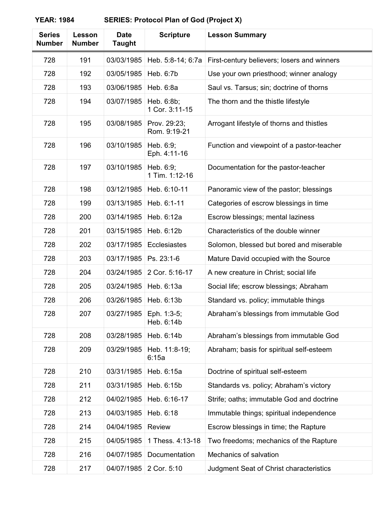| <b>Series</b><br><b>Number</b> | Lesson<br><b>Number</b> | <b>Date</b><br>Taught | <b>Scripture</b>             | <b>Lesson Summary</b>                       |
|--------------------------------|-------------------------|-----------------------|------------------------------|---------------------------------------------|
| 728                            | 191                     | 03/03/1985            | Heb. 5:8-14; 6:7a            | First-century believers; losers and winners |
| 728                            | 192                     | 03/05/1985            | Heb. 6:7b                    | Use your own priesthood; winner analogy     |
| 728                            | 193                     | 03/06/1985            | Heb. 6:8a                    | Saul vs. Tarsus; sin; doctrine of thorns    |
| 728                            | 194                     | 03/07/1985            | Heb. 6:8b;<br>1 Cor. 3:11-15 | The thorn and the thistle lifestyle         |
| 728                            | 195                     | 03/08/1985            | Prov. 29:23;<br>Rom. 9:19-21 | Arrogant lifestyle of thorns and thistles   |
| 728                            | 196                     | 03/10/1985            | Heb. 6:9;<br>Eph. 4:11-16    | Function and viewpoint of a pastor-teacher  |
| 728                            | 197                     | 03/10/1985            | Heb. 6:9;<br>1 Tim. 1:12-16  | Documentation for the pastor-teacher        |
| 728                            | 198                     | 03/12/1985            | Heb. 6:10-11                 | Panoramic view of the pastor; blessings     |
| 728                            | 199                     | 03/13/1985            | Heb. 6:1-11                  | Categories of escrow blessings in time      |
| 728                            | 200                     | 03/14/1985            | Heb. 6:12a                   | Escrow blessings; mental laziness           |
| 728                            | 201                     | 03/15/1985            | Heb. 6:12b                   | Characteristics of the double winner        |
| 728                            | 202                     | 03/17/1985            | Ecclesiastes                 | Solomon, blessed but bored and miserable    |
| 728                            | 203                     | 03/17/1985            | Ps. 23:1-6                   | Mature David occupied with the Source       |
| 728                            | 204                     | 03/24/1985            | 2 Cor. 5:16-17               | A new creature in Christ; social life       |
| 728                            | 205                     | 03/24/1985            | Heb. 6:13a                   | Social life; escrow blessings; Abraham      |
| 728                            | 206                     | 03/26/1985            | Heb. 6:13b                   | Standard vs. policy; immutable things       |
| 728                            | 207                     | 03/27/1985            | Eph. 1:3-5;<br>Heb. 6:14b    | Abraham's blessings from immutable God      |
| 728                            | 208                     | 03/28/1985            | Heb. 6:14b                   | Abraham's blessings from immutable God      |
| 728                            | 209                     | 03/29/1985            | Heb. 11:8-19;<br>6:15a       | Abraham; basis for spiritual self-esteem    |
| 728                            | 210                     | 03/31/1985            | Heb. 6:15a                   | Doctrine of spiritual self-esteem           |
| 728                            | 211                     | 03/31/1985            | Heb. 6:15b                   | Standards vs. policy; Abraham's victory     |
| 728                            | 212                     | 04/02/1985            | Heb. 6:16-17                 | Strife; oaths; immutable God and doctrine   |
| 728                            | 213                     | 04/03/1985            | Heb. 6:18                    | Immutable things; spiritual independence    |
| 728                            | 214                     | 04/04/1985            | Review                       | Escrow blessings in time; the Rapture       |
| 728                            | 215                     | 04/05/1985            | 1 Thess. 4:13-18             | Two freedoms; mechanics of the Rapture      |
| 728                            | 216                     | 04/07/1985            | Documentation                | Mechanics of salvation                      |
| 728                            | 217                     | 04/07/1985            | 2 Cor. 5:10                  | Judgment Seat of Christ characteristics     |